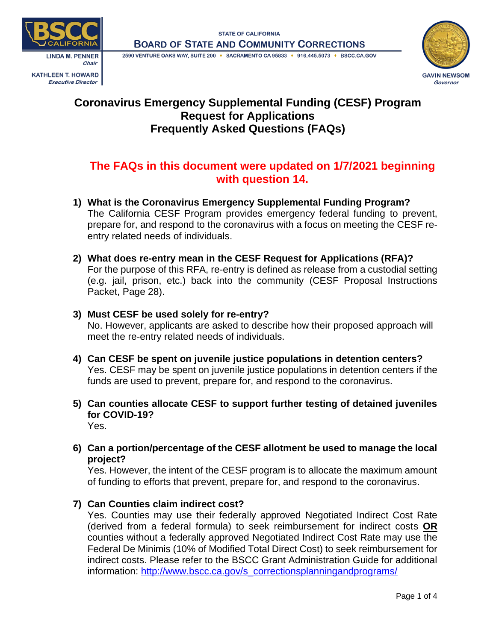2590 VENTURE OAKS WAY, SUITE 200 · SACRAMENTO CA 95833 · 916.445.5073 · BSCC.CA.GOV







# **Coronavirus Emergency Supplemental Funding (CESF) Program Request for Applications Frequently Asked Questions (FAQs)**

# **The FAQs in this document were updated on 1/7/2021 beginning with question 14.**

- **1) What is the Coronavirus Emergency Supplemental Funding Program?** The California CESF Program provides emergency federal funding to prevent, prepare for, and respond to the coronavirus with a focus on meeting the CESF reentry related needs of individuals.
- **2) What does re-entry mean in the CESF Request for Applications (RFA)?** For the purpose of this RFA, re-entry is defined as release from a custodial setting (e.g. jail, prison, etc.) back into the community (CESF Proposal Instructions Packet, Page 28).

## **3) Must CESF be used solely for re-entry?**

No. However, applicants are asked to describe how their proposed approach will meet the re-entry related needs of individuals.

- **4) Can CESF be spent on juvenile justice populations in detention centers?** Yes. CESF may be spent on juvenile justice populations in detention centers if the funds are used to prevent, prepare for, and respond to the coronavirus.
- **5) Can counties allocate CESF to support further testing of detained juveniles for COVID-19?** Yes.
- **6) Can a portion/percentage of the CESF allotment be used to manage the local project?**

Yes. However, the intent of the CESF program is to allocate the maximum amount of funding to efforts that prevent, prepare for, and respond to the coronavirus.

## **7) Can Counties claim indirect cost?**

Yes. Counties may use their federally approved Negotiated Indirect Cost Rate (derived from a federal formula) to seek reimbursement for indirect costs **OR** counties without a federally approved Negotiated Indirect Cost Rate may use the Federal De Minimis (10% of Modified Total Direct Cost) to seek reimbursement for indirect costs. Please refer to the BSCC Grant Administration Guide for additional information: [http://www.bscc.ca.gov/s\\_correctionsplanningandprograms/](http://www.bscc.ca.gov/s_correctionsplanningandprograms/)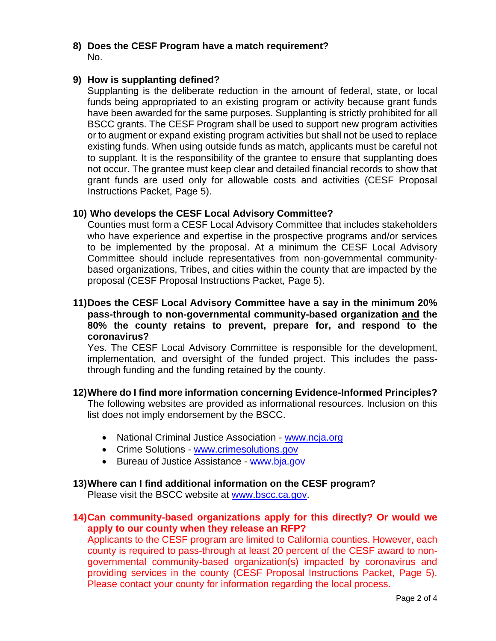## **8) Does the CESF Program have a match requirement?** No.

### **9) How is supplanting defined?**

Supplanting is the deliberate reduction in the amount of federal, state, or local funds being appropriated to an existing program or activity because grant funds have been awarded for the same purposes. Supplanting is strictly prohibited for all BSCC grants. The CESF Program shall be used to support new program activities or to augment or expand existing program activities but shall not be used to replace existing funds. When using outside funds as match, applicants must be careful not to supplant. It is the responsibility of the grantee to ensure that supplanting does not occur. The grantee must keep clear and detailed financial records to show that grant funds are used only for allowable costs and activities (CESF Proposal Instructions Packet, Page 5).

### **10) Who develops the CESF Local Advisory Committee?**

Counties must form a CESF Local Advisory Committee that includes stakeholders who have experience and expertise in the prospective programs and/or services to be implemented by the proposal. At a minimum the CESF Local Advisory Committee should include representatives from non-governmental communitybased organizations, Tribes, and cities within the county that are impacted by the proposal (CESF Proposal Instructions Packet, Page 5).

### **11)Does the CESF Local Advisory Committee have a say in the minimum 20% pass-through to non-governmental community-based organization and the 80% the county retains to prevent, prepare for, and respond to the coronavirus?**

Yes. The CESF Local Advisory Committee is responsible for the development, implementation, and oversight of the funded project. This includes the passthrough funding and the funding retained by the county.

## **12)Where do I find more information concerning Evidence-Informed Principles?**

The following websites are provided as informational resources. Inclusion on this list does not imply endorsement by the BSCC.

- National Criminal Justice Association [www.ncja.org](http://www.ncja.org/)
- Crime Solutions [www.crimesolutions.gov](http://www.crimesolutions.gov/)
- Bureau of Justice Assistance [www.bja.gov](http://www.bja.gov/)

#### **13)Where can I find additional information on the CESF program?**

Please visit the BSCC website at [www.bscc.ca.gov.](http://www.bscc.ca.gov/)

### **14)Can community-based organizations apply for this directly? Or would we apply to our county when they release an RFP?**

Applicants to the CESF program are limited to California counties. However, each county is required to pass-through at least 20 percent of the CESF award to nongovernmental community-based organization(s) impacted by coronavirus and providing services in the county (CESF Proposal Instructions Packet, Page 5). Please contact your county for information regarding the local process.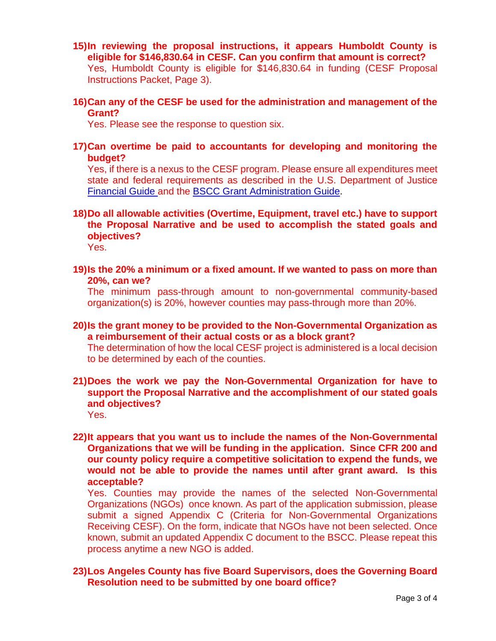- **15)In reviewing the proposal instructions, it appears Humboldt County is eligible for \$146,830.64 in CESF. Can you confirm that amount is correct?** Yes, Humboldt County is eligible for \$146,830.64 in funding (CESF Proposal Instructions Packet, Page 3).
- **16)Can any of the CESF be used for the administration and management of the Grant?**

Yes. Please see the response to question six.

**17)Can overtime be paid to accountants for developing and monitoring the budget?**

Yes, if there is a nexus to the CESF program. Please ensure all expenditures meet state and federal requirements as described in the U.S. Department of Justice [Financial Guide](https://www.ojp.gov/sites/g/files/xyckuh241/files/media/document/DOJ_FinancialGuide_1.pdf) and the [BSCC Grant Administration Guide.](http://www.bscc.ca.gov/wp-content/uploads/BSCC-Grant-Admin-Guide-July-2020-Final.pdf)

**18)Do all allowable activities (Overtime, Equipment, travel etc.) have to support the Proposal Narrative and be used to accomplish the stated goals and objectives?**

Yes.

**19)Is the 20% a minimum or a fixed amount. If we wanted to pass on more than 20%, can we?**

The minimum pass-through amount to non-governmental community-based organization(s) is 20%, however counties may pass-through more than 20%.

**20)Is the grant money to be provided to the Non-Governmental Organization as a reimbursement of their actual costs or as a block grant?**

The determination of how the local CESF project is administered is a local decision to be determined by each of the counties.

**21)Does the work we pay the Non-Governmental Organization for have to support the Proposal Narrative and the accomplishment of our stated goals and objectives?**

Yes.

**22)It appears that you want us to include the names of the Non-Governmental Organizations that we will be funding in the application. Since CFR 200 and our county policy require a competitive solicitation to expend the funds, we would not be able to provide the names until after grant award. Is this acceptable?**

Yes. Counties may provide the names of the selected Non-Governmental Organizations (NGOs) once known. As part of the application submission, please submit a signed Appendix C (Criteria for Non-Governmental Organizations Receiving CESF). On the form, indicate that NGOs have not been selected. Once known, submit an updated Appendix C document to the BSCC. Please repeat this process anytime a new NGO is added.

## **23)Los Angeles County has five Board Supervisors, does the Governing Board Resolution need to be submitted by one board office?**